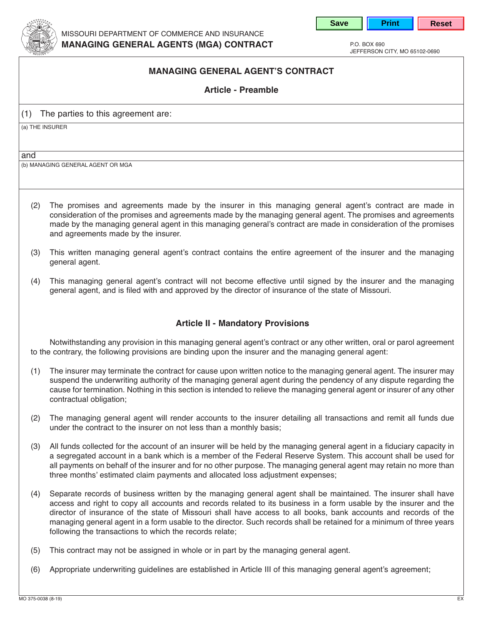



jeFFeRSoN cITy, Mo 65102-0690

## **MANAGING GENERAL AGENT'S CONTRACT**

**Article - Preamble**

(1) The parties to this agreement are:

(a) The INSuReR

and

(b) MANAgINg geNeRAl AgeNT oR MgA

- (2) The promises and agreements made by the insurer in this managing general agent's contract are made in consideration of the promises and agreements made by the managing general agent. The promises and agreements made by the managing general agent in this managing general's contract are made in consideration of the promises and agreements made by the insurer.
- (3) This written managing general agent's contract contains the entire agreement of the insurer and the managing general agent.
- (4) This managing general agent's contract will not become effective until signed by the insurer and the managing general agent, and is filed with and approved by the director of insurance of the state of Missouri.

## **Article II - Mandatory Provisions**

 Notwithstanding any provision in this managing general agent's contract or any other written, oral or parol agreement to the contrary, the following provisions are binding upon the insurer and the managing general agent:

- (1) The insurer may terminate the contract for cause upon written notice to the managing general agent. The insurer may suspend the underwriting authority of the managing general agent during the pendency of any dispute regarding the cause for termination. Nothing in this section is intended to relieve the managing general agent or insurer of any other contractual obligation;
- (2) The managing general agent will render accounts to the insurer detailing all transactions and remit all funds due under the contract to the insurer on not less than a monthly basis;
- (3) All funds collected for the account of an insurer will be held by the managing general agent in a fiduciary capacity in a segregated account in a bank which is a member of the Federal Reserve System. This account shall be used for all payments on behalf of the insurer and for no other purpose. The managing general agent may retain no more than three months' estimated claim payments and allocated loss adjustment expenses;
- (4) Separate records of business written by the managing general agent shall be maintained. The insurer shall have access and right to copy all accounts and records related to its business in a form usable by the insurer and the director of insurance of the state of Missouri shall have access to all books, bank accounts and records of the managing general agent in a form usable to the director. Such records shall be retained for a minimum of three years following the transactions to which the records relate;
- (5) This contract may not be assigned in whole or in part by the managing general agent.
- (6) Appropriate underwriting guidelines are established in Article III of this managing general agent's agreement;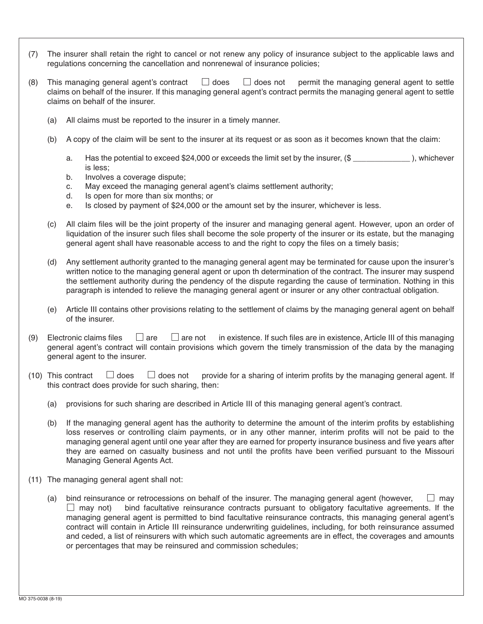- (7) The insurer shall retain the right to cancel or not renew any policy of insurance subject to the applicable laws and regulations concerning the cancellation and nonrenewal of insurance policies;
- (8) This managing general agent's contract  $\Box$  does  $\Box$  does not permit the managing general agent to settle claims on behalf of the insurer. If this managing general agent's contract permits the managing general agent to settle claims on behalf of the insurer.
	- (a) All claims must be reported to the insurer in a timely manner.
	- (b) A copy of the claim will be sent to the insurer at its request or as soon as it becomes known that the claim:
		- a. Has the potential to exceed \$24,000 or exceeds the limit set by the insurer, (\$ \_\_\_\_\_\_\_\_\_\_\_\_\_\_ ), whichever is less;
		- b. Involves a coverage dispute;
		- c. May exceed the managing general agent's claims settlement authority;
		- d. Is open for more than six months; or
		- e. Is closed by payment of \$24,000 or the amount set by the insurer, whichever is less.
	- (c) All claim files will be the joint property of the insurer and managing general agent. however, upon an order of liquidation of the insurer such files shall become the sole property of the insurer or its estate, but the managing general agent shall have reasonable access to and the right to copy the files on a timely basis;
	- (d) Any settlement authority granted to the managing general agent may be terminated for cause upon the insurer's written notice to the managing general agent or upon th determination of the contract. The insurer may suspend the settlement authority during the pendency of the dispute regarding the cause of termination. Nothing in this paragraph is intended to relieve the managing general agent or insurer or any other contractual obligation.
	- (e) Article III contains other provisions relating to the settlement of claims by the managing general agent on behalf of the insurer.
- (9) Electronic claims files  $\Box$  are  $\Box$  are not in existence. If such files are in existence, Article III of this managing general agent's contract will contain provisions which govern the timely transmission of the data by the managing general agent to the insurer.
- (10) This contract  $\Box$  does  $\Box$  does not provide for a sharing of interim profits by the managing general agent. If this contract does provide for such sharing, then:
	- (a) provisions for such sharing are described in Article III of this managing general agent's contract.
	- (b) If the managing general agent has the authority to determine the amount of the interim profits by establishing loss reserves or controlling claim payments, or in any other manner, interim profits will not be paid to the managing general agent until one year after they are earned for property insurance business and five years after they are earned on casualty business and not until the profits have been verified pursuant to the Missouri Managing General Agents Act.
- (11) The managing general agent shall not:
	- (a) bind reinsurance or retrocessions on behalf of the insurer. The managing general agent (however,  $\Box$  may  $\Box$  may not) bind facultative reinsurance contracts pursuant to obligatory facultative agreements. If the managing general agent is permitted to bind facultative reinsurance contracts, this managing general agent's contract will contain in Article III reinsurance underwriting guidelines, including, for both reinsurance assumed and ceded, a list of reinsurers with which such automatic agreements are in effect, the coverages and amounts or percentages that may be reinsured and commission schedules;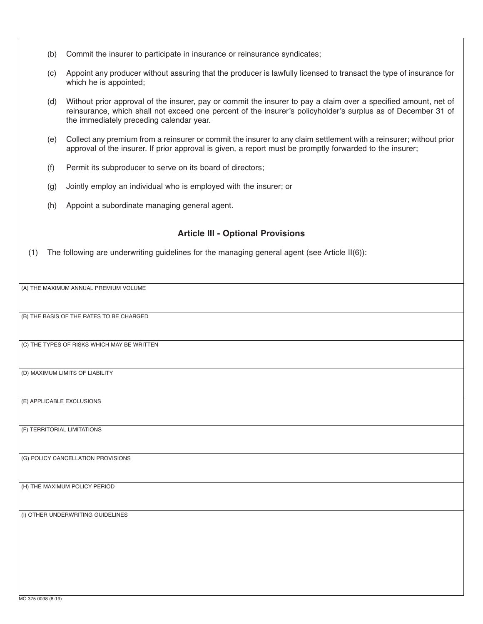- (b) commit the insurer to participate in insurance or reinsurance syndicates;
- (c) Appoint any producer without assuring that the producer is lawfully licensed to transact the type of insurance f or which he is appointed;
- (d) without prior approval of the insurer, pay or commit the insurer to pay a claim over a specified amount, net of reinsurance, which shall not exceed one percent of the insurer's policyholder's surplus as of December 31 of the immediately preceding calendar year.
- (e) collect any premium from a reinsurer or commit the insurer to any claim settlement with a reinsurer; without pri orapproval of the insurer. If prior approval is given, a report must be promptly forwarded to the insurer;
- (f) Permit its subproducer to serve on its board of directors;
- (g) Jointly employ an individual who is employed with the insurer; or
- (h) Appoint a subordinate managing general agent.

## **Article III - Optional Provisions**

(1) The following are underwriting guidelines for the managing general agent (see Article II(6)):

(A) The MAxIMuM ANNuAl pReMIuM voluMe

(b) The bASIS oF The RATeS To be chARged

(c) The TypeS oF RISkS whIch MAy be wRITTeN

(d) MAxIMuM lIMITS oF lIAbIlITy

(e) ApplIcAble excluSIoNS

(F) TeRRIToRIAl lIMITATIoNS

(g) polIcy cANcellATIoN pRovISIoNS

(h) The MAxIMuM polIcy peRIod

(I) oTheR uNdeRwRITINg guIdelINeS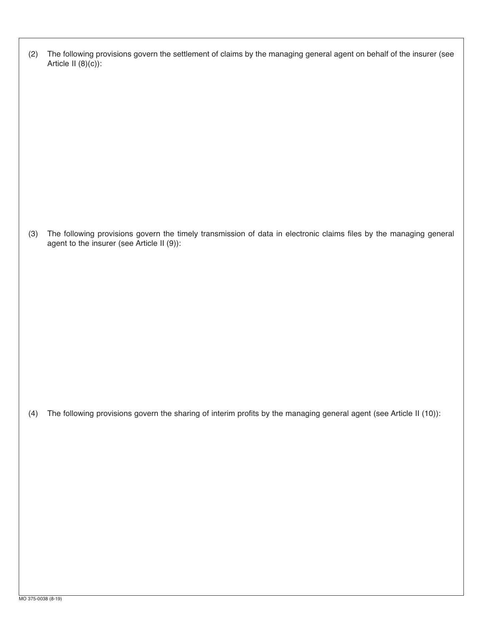| (2) The following provisions govern the settlement of claims by the managing general agent on behalf of the insurer (see |
|--------------------------------------------------------------------------------------------------------------------------|
| Article II $(8)(c)$ :                                                                                                    |

(3) The following provisions govern the timely transmission of data in electronic claims files by the managing general agent to the insurer (see Article II (9)):

(4) The following provisions govern the sharing of interim profits by the managing general agent (see Article II (10)):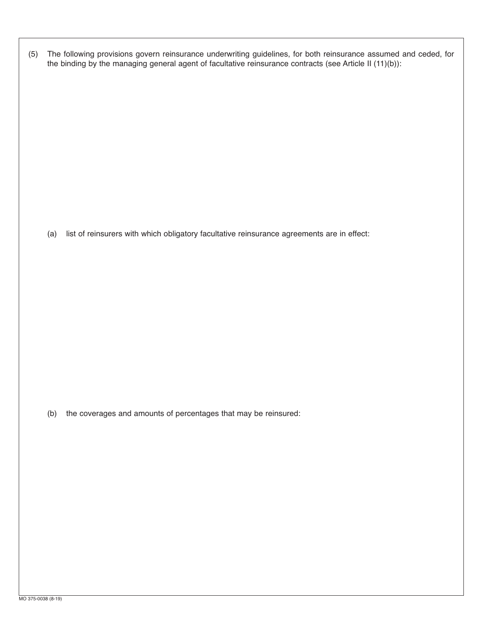(5) The following provisions govern reinsurance underwriting guidelines, for both reinsurance assumed and ceded, for the binding by the managing general agent of facultative reinsurance contracts (see Article II (11)(b)):

(a) list of reinsurers with which obligatory facultative reinsurance agreements are in effect:

(b) the coverages and amounts of percentages that may be reinsured: